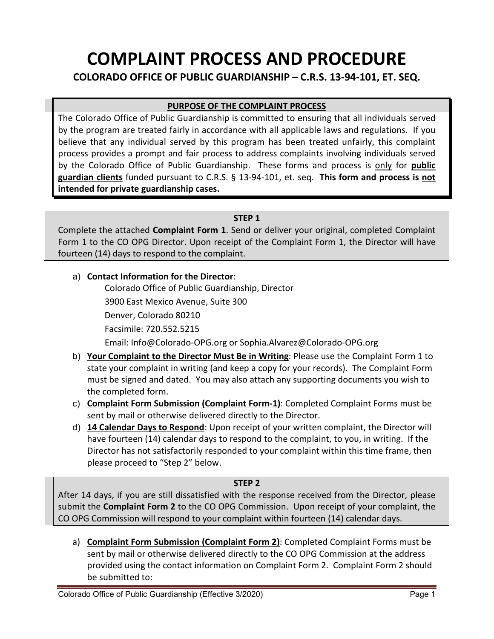# **COMPLAINT PROCESS AND PROCEDURE**

**COLORADO OFFICE OF PUBLIC GUARDIANSHIP – C.R.S. 13-94-101, ET. SEQ.** 

# **PURPOSE OF THE COMPLAINT PROCESS**

The Colorado Office of Public Guardianship is committed to ensuring that all individuals served by the program are treated fairly in accordance with all applicable laws and regulations. If you believe that any individual served by this program has been treated unfairly, this complaint process provides a prompt and fair process to address complaints involving individuals served by the Colorado Office of Public Guardianship. These forms and process is only for **public guardian clients** funded pursuant to C.R.S. § 13-94-101, et. seq. **This form and process is not intended for private guardianship cases.**

#### **STEP 1**

Complete the attached **Complaint Form 1**. Send or deliver your original, completed Complaint Form 1 to the CO OPG Director. Upon receipt of the Complaint Form 1, the Director will have fourteen (14) days to respond to the complaint.

### a) **Contact Information for the Director**:

 Colorado Office of Public Guardianship, Director 3900 East Mexico Avenue, Suite 300

Denver, Colorado 80210

Facsimile: 720.552.5215

Email: Info@Colorado-OPG.org or Sophia.Alvarez@Colorado-OPG.org

- b) **Your Complaint to the Director Must Be in Writing**: Please use the Complaint Form 1 to state your complaint in writing (and keep a copy for your records). The Complaint Form must be signed and dated. You may also attach any supporting documents you wish to the completed form.
- c) **Complaint Form Submission (Complaint Form-1)**: Completed Complaint Forms must be sent by mail or otherwise delivered directly to the Director.
- d) **14 Calendar Days to Respond**: Upon receipt of your written complaint, the Director will have fourteen (14) calendar days to respond to the complaint, to you, in writing. If the Director has not satisfactorily responded to your complaint within this time frame, then please proceed to "Step 2" below.

#### **STEP 2**

After 14 days, if you are still dissatisfied with the response received from the Director, please submit the **Complaint Form 2** to the CO OPG Commission. Upon receipt of your complaint, the CO OPG Commission will respond to your complaint within fourteen (14) calendar days.

a) **Complaint Form Submission (Complaint Form 2)**: Completed Complaint Forms must be sent by mail or otherwise delivered directly to the CO OPG Commission at the address provided using the contact information on Complaint Form 2. Complaint Form 2 should be submitted to: